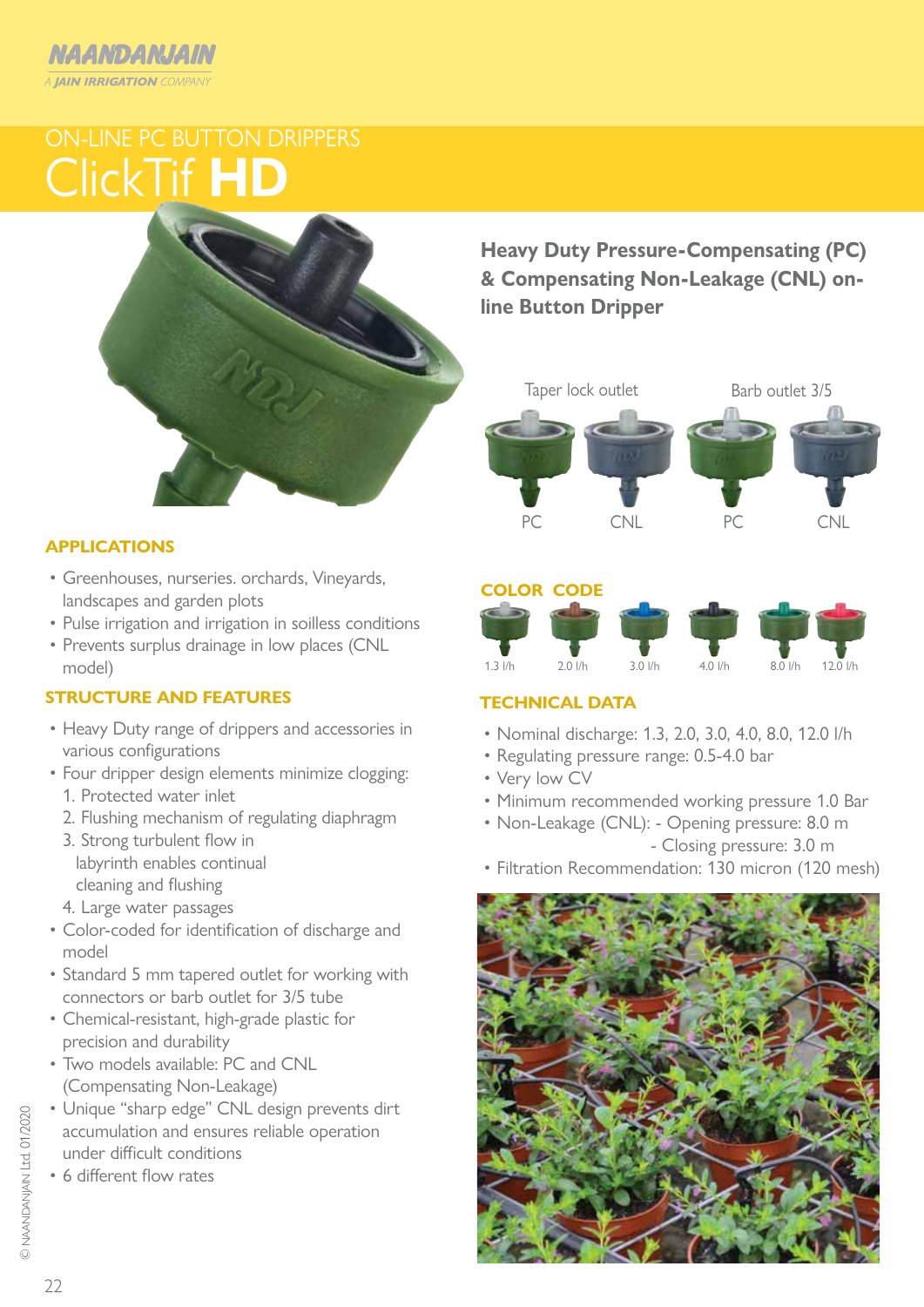## NAANDANJAIN **A JAIN IRRIGATION COMPANY**

# ClickTif **HD** ON-LINE PC BUTTON DRIPPERS



### **APPLICATIONS**

- Greenhouses, nurseries. orchards, Vineyards, landscapes and garden plots
- Pulse irrigation and irrigation in soilless conditions
- Prevents surplus drainage in low places (CNL model)

### **STRUCTURE AND FEATURES**

- Heavy Duty range of drippers and accessories in various configurations
- Four dripper design elements minimize clogging:
	- 1. Protected water inlet
	- 2. Flushing mechanism of regulating diaphragm
	- 3. Strong turbulent flow in labyrinth enables continual cleaning and flushing
	- 4. Large water passages
- Color-coded for identification of discharge and model
- Standard 5 mm tapered outlet for working with connectors or barb outlet for 3/5 tube
- Chemical-resistant, high-grade plastic for precision and durability
- Two models available: PC and CNL (Compensating Non-Leakage)
- Unique "sharp edge" CNL design prevents dirt accumulation and ensures reliable operation under difficult conditions
- 6 different flow rates

**Heavy Duty Pressure-Compensating (PC) & Compensating Non-Leakage (CNL) online Button Dripper**



#### **COLOR CODE**



### **TECHNICAL DATA**

- Nominal discharge: 1.3, 2.0, 3.0, 4.0, 8.0, 12.0 l/h
- Regulating pressure range: 0.5-4.0 bar
- Very low CV
- Minimum recommended working pressure 1.0 Bar
- Non-Leakage (CNL): Opening pressure: 8.0 m - Closing pressure: 3.0 m
- Filtration Recommendation: 130 micron (120 mesh)